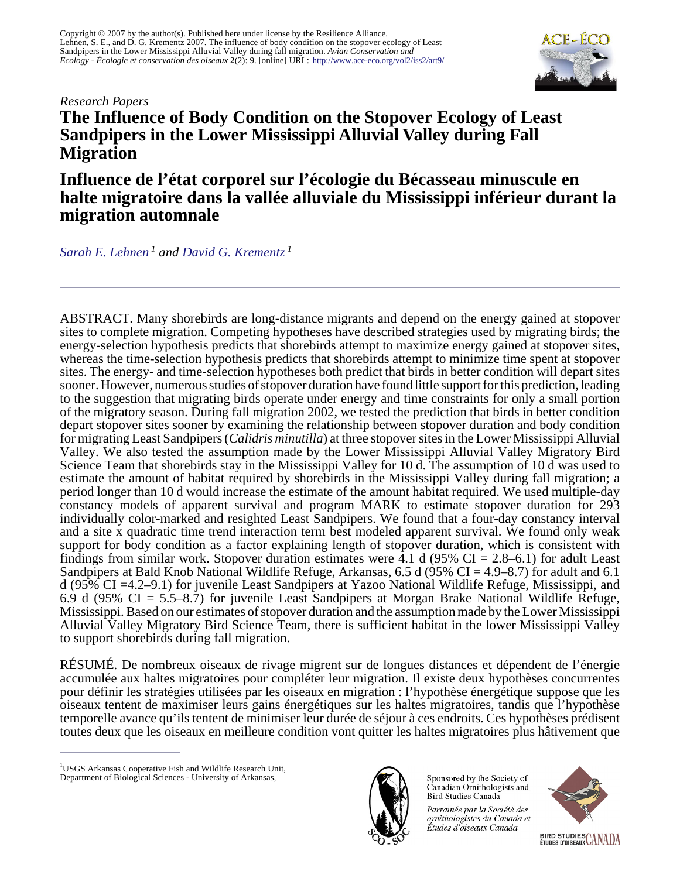*Research Papers*

# **The Influence of Body Condition on the Stopover Ecology of Least Sandpipers in the Lower Mississippi Alluvial Valley during Fall Migration**

**Influence de l'état corporel sur l'écologie du Bécasseau minuscule en halte migratoire dans la vallée alluviale du Mississippi inférieur durant la migration automnale**

*[Sarah E. Lehnen](mailto:lehnen.2@osu.edu)<sup>1</sup> and [David G. Krementz](mailto:krementz@uark.edu)<sup>1</sup>*

ABSTRACT. Many shorebirds are long-distance migrants and depend on the energy gained at stopover sites to complete migration. Competing hypotheses have described strategies used by migrating birds; the energy-selection hypothesis predicts that shorebirds attempt to maximize energy gained at stopover sites, whereas the time-selection hypothesis predicts that shorebirds attempt to minimize time spent at stopover sites. The energy- and time-selection hypotheses both predict that birds in better condition will depart sites sooner. However, numerous studies of stopover duration have found little support for this prediction, leading to the suggestion that migrating birds operate under energy and time constraints for only a small portion of the migratory season. During fall migration 2002, we tested the prediction that birds in better condition depart stopover sites sooner by examining the relationship between stopover duration and body condition for migrating Least Sandpipers (*Calidris minutilla*) at three stopover sites in the Lower Mississippi Alluvial Valley. We also tested the assumption made by the Lower Mississippi Alluvial Valley Migratory Bird Science Team that shorebirds stay in the Mississippi Valley for 10 d. The assumption of 10 d was used to estimate the amount of habitat required by shorebirds in the Mississippi Valley during fall migration; a period longer than 10 d would increase the estimate of the amount habitat required. We used multiple-day constancy models of apparent survival and program MARK to estimate stopover duration for 293 individually color-marked and resighted Least Sandpipers. We found that a four-day constancy interval and a site x quadratic time trend interaction term best modeled apparent survival. We found only weak support for body condition as a factor explaining length of stopover duration, which is consistent with findings from similar work. Stopover duration estimates were 4.1 d (95% CI = 2.8–6.1) for adult Least Sandpipers at Bald Knob National Wildlife Refuge, Arkansas, 6.5 d (95% CI = 4.9–8.7) for adult and 6.1 d (95% CI =4.2–9.1) for juvenile Least Sandpipers at Yazoo National Wildlife Refuge, Mississippi, and 6.9 d (95% CI = 5.5–8.7) for juvenile Least Sandpipers at Morgan Brake National Wildlife Refuge, Mississippi. Based on our estimates of stopover duration and the assumption made by the Lower Mississippi Alluvial Valley Migratory Bird Science Team, there is sufficient habitat in the lower Mississippi Valley to support shorebirds during fall migration.

RÉSUMÉ. De nombreux oiseaux de rivage migrent sur de longues distances et dépendent de l'énergie accumulée aux haltes migratoires pour compléter leur migration. Il existe deux hypothèses concurrentes pour définir les stratégies utilisées par les oiseaux en migration : l'hypothèse énergétique suppose que les oiseaux tentent de maximiser leurs gains énergétiques sur les haltes migratoires, tandis que l'hypothèse temporelle avance qu'ils tentent de minimiser leur durée de séjour à ces endroits. Ces hypothèses prédisent toutes deux que les oiseaux en meilleure condition vont quitter les haltes migratoires plus hâtivement que



Sponsored by the Society of Canadian Ornithologists and Bird Studies Canada

Parrainée par la Société des ornithologistes du Canada et Études d'oiseaux Canada





<sup>&</sup>lt;sup>1</sup>USGS Arkansas Cooperative Fish and Wildlife Research Unit, Department of Biological Sciences - University of Arkansas,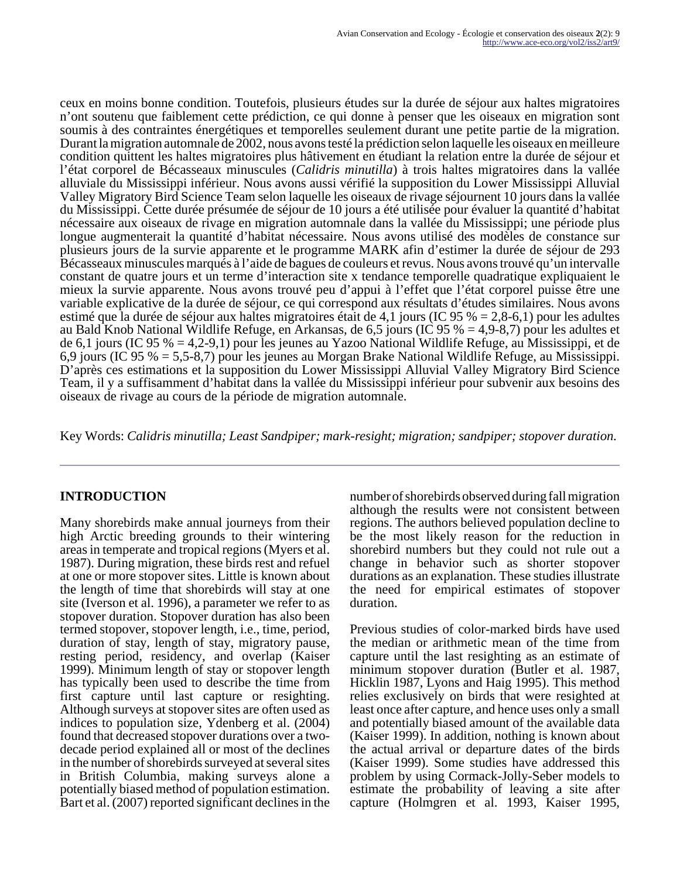ceux en moins bonne condition. Toutefois, plusieurs études sur la durée de séjour aux haltes migratoires n'ont soutenu que faiblement cette prédiction, ce qui donne à penser que les oiseaux en migration sont soumis à des contraintes énergétiques et temporelles seulement durant une petite partie de la migration. Durant la migration automnale de 2002, nous avons testé la prédiction selon laquelle les oiseaux en meilleure condition quittent les haltes migratoires plus hâtivement en étudiant la relation entre la durée de séjour et l'état corporel de Bécasseaux minuscules (*Calidris minutilla*) à trois haltes migratoires dans la vallée alluviale du Mississippi inférieur. Nous avons aussi vérifié la supposition du Lower Mississippi Alluvial Valley Migratory Bird Science Team selon laquelle les oiseaux de rivage séjournent 10 jours dans la vallée du Mississippi. Cette durée présumée de séjour de 10 jours a été utilisée pour évaluer la quantité d'habitat nécessaire aux oiseaux de rivage en migration automnale dans la vallée du Mississippi; une période plus longue augmenterait la quantité d'habitat nécessaire. Nous avons utilisé des modèles de constance sur plusieurs jours de la survie apparente et le programme MARK afin d'estimer la durée de séjour de 293 Bécasseaux minuscules marqués à l'aide de bagues de couleurs et revus. Nous avons trouvé qu'un intervalle constant de quatre jours et un terme d'interaction site x tendance temporelle quadratique expliquaient le mieux la survie apparente. Nous avons trouvé peu d'appui à l'effet que l'état corporel puisse être une variable explicative de la durée de séjour, ce qui correspond aux résultats d'études similaires. Nous avons estimé que la durée de séjour aux haltes migratoires était de 4,1 jours (IC 95 % = 2,8-6,1) pour les adultes au Bald Knob National Wildlife Refuge, en Arkansas, de 6,5 jours (IC 95 % = 4,9-8,7) pour les adultes et de 6,1 jours (IC 95 % = 4,2-9,1) pour les jeunes au Yazoo National Wildlife Refuge, au Mississippi, et de 6,9 jours (IC 95 % = 5,5-8,7) pour les jeunes au Morgan Brake National Wildlife Refuge, au Mississippi. D'après ces estimations et la supposition du Lower Mississippi Alluvial Valley Migratory Bird Science Team, il y a suffisamment d'habitat dans la vallée du Mississippi inférieur pour subvenir aux besoins des oiseaux de rivage au cours de la période de migration automnale.

Key Words: *Calidris minutilla; Least Sandpiper; mark-resight; migration; sandpiper; stopover duration.* 

## **INTRODUCTION**

Many shorebirds make annual journeys from their high Arctic breeding grounds to their wintering areas in temperate and tropical regions (Myers et al. 1987). During migration, these birds rest and refuel at one or more stopover sites. Little is known about the length of time that shorebirds will stay at one site (Iverson et al. 1996), a parameter we refer to as stopover duration. Stopover duration has also been termed stopover, stopover length, i.e., time, period, duration of stay, length of stay, migratory pause, resting period, residency, and overlap (Kaiser 1999). Minimum length of stay or stopover length has typically been used to describe the time from first capture until last capture or resighting. Although surveys at stopover sites are often used as indices to population size, Ydenberg et al. (2004) found that decreased stopover durations over a twodecade period explained all or most of the declines in the number of shorebirds surveyed at several sites in British Columbia, making surveys alone a potentially biased method of population estimation. Bart et al. (2007) reported significant declines in the

number of shorebirds observed during fall migration although the results were not consistent between regions. The authors believed population decline to be the most likely reason for the reduction in shorebird numbers but they could not rule out a change in behavior such as shorter stopover durations as an explanation. These studies illustrate the need for empirical estimates of stopover duration.

Previous studies of color-marked birds have used the median or arithmetic mean of the time from capture until the last resighting as an estimate of minimum stopover duration (Butler et al. 1987, Hicklin 1987, Lyons and Haig 1995). This method relies exclusively on birds that were resighted at least once after capture, and hence uses only a small and potentially biased amount of the available data (Kaiser 1999). In addition, nothing is known about the actual arrival or departure dates of the birds (Kaiser 1999). Some studies have addressed this problem by using Cormack-Jolly-Seber models to estimate the probability of leaving a site after capture (Holmgren et al. 1993, Kaiser 1995,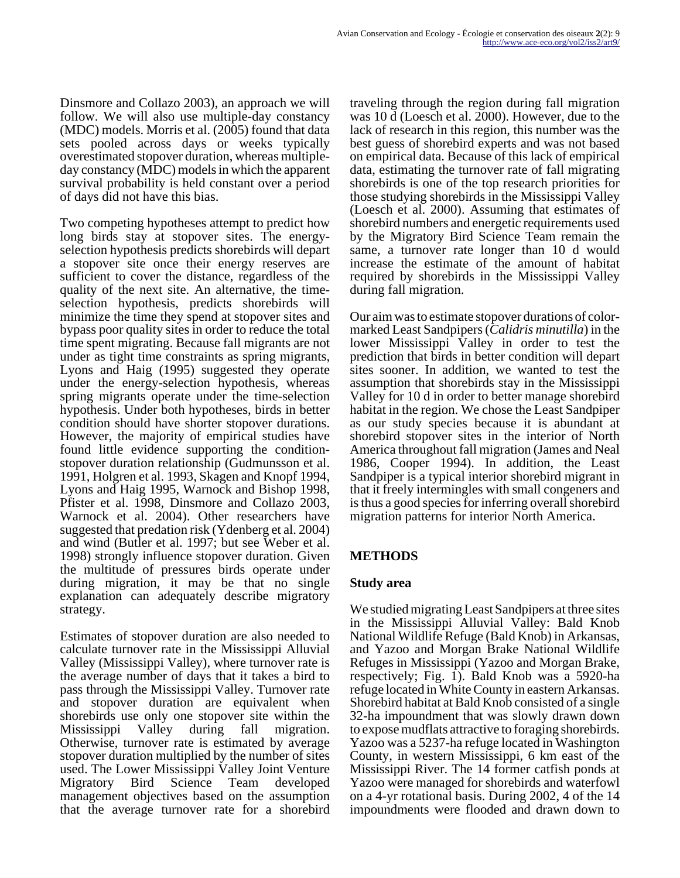Dinsmore and Collazo 2003), an approach we will follow. We will also use multiple-day constancy (MDC) models. Morris et al. (2005) found that data sets pooled across days or weeks typically overestimated stopover duration, whereas multipleday constancy (MDC) models in which the apparent survival probability is held constant over a period of days did not have this bias.

Two competing hypotheses attempt to predict how long birds stay at stopover sites. The energyselection hypothesis predicts shorebirds will depart a stopover site once their energy reserves are sufficient to cover the distance, regardless of the quality of the next site. An alternative, the timeselection hypothesis, predicts shorebirds will minimize the time they spend at stopover sites and bypass poor quality sites in order to reduce the total time spent migrating. Because fall migrants are not under as tight time constraints as spring migrants, Lyons and Haig (1995) suggested they operate under the energy-selection hypothesis, whereas spring migrants operate under the time-selection hypothesis. Under both hypotheses, birds in better condition should have shorter stopover durations. However, the majority of empirical studies have found little evidence supporting the conditionstopover duration relationship (Gudmunsson et al. 1991, Holgren et al. 1993, Skagen and Knopf 1994, Lyons and Haig 1995, Warnock and Bishop 1998, Pfister et al. 1998, Dinsmore and Collazo 2003, Warnock et al. 2004). Other researchers have suggested that predation risk (Ydenberg et al. 2004) and wind (Butler et al. 1997; but see Weber et al. 1998) strongly influence stopover duration. Given the multitude of pressures birds operate under during migration, it may be that no single explanation can adequately describe migratory strategy.

Estimates of stopover duration are also needed to calculate turnover rate in the Mississippi Alluvial Valley (Mississippi Valley), where turnover rate is the average number of days that it takes a bird to pass through the Mississippi Valley. Turnover rate and stopover duration are equivalent when shorebirds use only one stopover site within the Mississippi Valley during fall migration. Otherwise, turnover rate is estimated by average stopover duration multiplied by the number of sites used. The Lower Mississippi Valley Joint Venture Migratory Bird Science Team developed management objectives based on the assumption that the average turnover rate for a shorebird

traveling through the region during fall migration was 10 d (Loesch et al. 2000). However, due to the lack of research in this region, this number was the best guess of shorebird experts and was not based on empirical data. Because of this lack of empirical data, estimating the turnover rate of fall migrating shorebirds is one of the top research priorities for those studying shorebirds in the Mississippi Valley (Loesch et al. 2000). Assuming that estimates of shorebird numbers and energetic requirements used by the Migratory Bird Science Team remain the same, a turnover rate longer than 10 d would increase the estimate of the amount of habitat required by shorebirds in the Mississippi Valley during fall migration.

Our aim was to estimate stopover durations of colormarked Least Sandpipers (*Calidris minutilla*) in the lower Mississippi Valley in order to test the prediction that birds in better condition will depart sites sooner. In addition, we wanted to test the assumption that shorebirds stay in the Mississippi Valley for 10 d in order to better manage shorebird habitat in the region. We chose the Least Sandpiper as our study species because it is abundant at shorebird stopover sites in the interior of North America throughout fall migration (James and Neal 1986, Cooper 1994). In addition, the Least Sandpiper is a typical interior shorebird migrant in that it freely intermingles with small congeners and is thus a good species for inferring overall shorebird migration patterns for interior North America.

## **METHODS**

## **Study area**

We studied migrating Least Sandpipers at three sites in the Mississippi Alluvial Valley: Bald Knob National Wildlife Refuge (Bald Knob) in Arkansas, and Yazoo and Morgan Brake National Wildlife Refuges in Mississippi (Yazoo and Morgan Brake, respectively; Fig. 1). Bald Knob was a 5920-ha refuge located in White County in eastern Arkansas. Shorebird habitat at Bald Knob consisted of a single 32-ha impoundment that was slowly drawn down to expose mudflats attractive to foraging shorebirds. Yazoo was a 5237-ha refuge located in Washington County, in western Mississippi, 6 km east of the Mississippi River. The 14 former catfish ponds at Yazoo were managed for shorebirds and waterfowl on a 4-yr rotational basis. During 2002, 4 of the 14 impoundments were flooded and drawn down to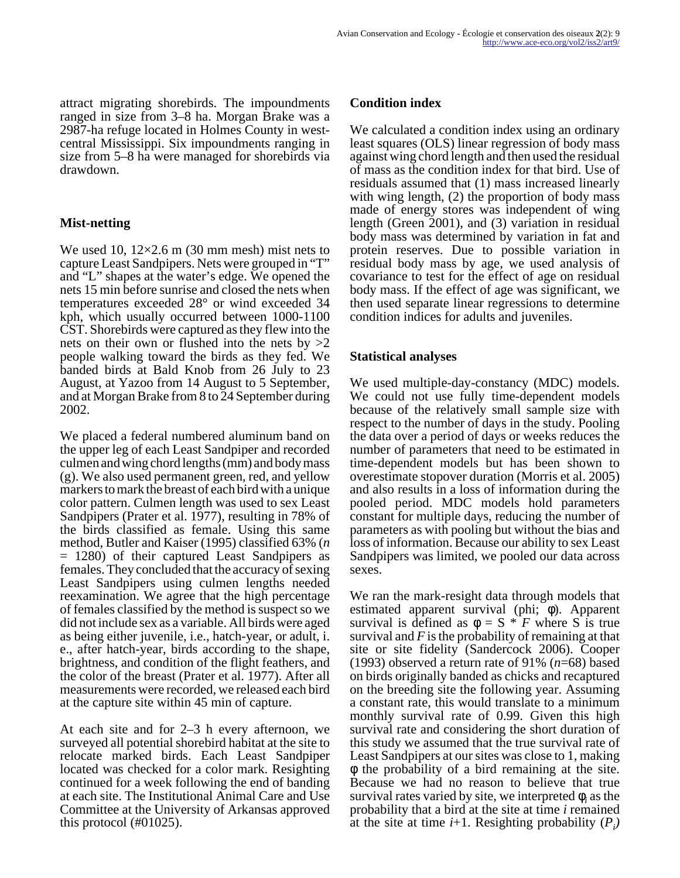attract migrating shorebirds. The impoundments ranged in size from 3–8 ha. Morgan Brake was a 2987-ha refuge located in Holmes County in westcentral Mississippi. Six impoundments ranging in size from 5–8 ha were managed for shorebirds via drawdown.

## **Mist-netting**

We used 10,  $12\times2.6$  m (30 mm mesh) mist nets to capture Least Sandpipers. Nets were grouped in "T" and "L" shapes at the water's edge. We opened the nets 15 min before sunrise and closed the nets when temperatures exceeded 28° or wind exceeded 34 kph, which usually occurred between 1000-1100 CST. Shorebirds were captured as they flew into the nets on their own or flushed into the nets by  $>2$ people walking toward the birds as they fed. We banded birds at Bald Knob from 26 July to 23 August, at Yazoo from 14 August to 5 September, and at Morgan Brake from 8 to 24 September during 2002.

We placed a federal numbered aluminum band on the upper leg of each Least Sandpiper and recorded culmen and wing chord lengths (mm) and body mass (g). We also used permanent green, red, and yellow markers to mark the breast of each bird with a unique color pattern. Culmen length was used to sex Least Sandpipers (Prater et al. 1977), resulting in 78% of the birds classified as female. Using this same method, Butler and Kaiser (1995) classified 63% (*n* = 1280) of their captured Least Sandpipers as females. They concluded that the accuracy of sexing Least Sandpipers using culmen lengths needed reexamination. We agree that the high percentage of females classified by the method is suspect so we did not include sex as a variable. All birds were aged as being either juvenile, i.e., hatch-year, or adult, i. e., after hatch-year, birds according to the shape, brightness, and condition of the flight feathers, and the color of the breast (Prater et al. 1977). After all measurements were recorded, we released each bird at the capture site within 45 min of capture.

At each site and for 2–3 h every afternoon, we surveyed all potential shorebird habitat at the site to relocate marked birds. Each Least Sandpiper located was checked for a color mark. Resighting continued for a week following the end of banding at each site. The Institutional Animal Care and Use Committee at the University of Arkansas approved this protocol (#01025).

#### **Condition index**

We calculated a condition index using an ordinary least squares (OLS) linear regression of body mass against wing chord length and then used the residual of mass as the condition index for that bird. Use of residuals assumed that (1) mass increased linearly with wing length, (2) the proportion of body mass made of energy stores was independent of wing length (Green 2001), and (3) variation in residual body mass was determined by variation in fat and protein reserves. Due to possible variation in residual body mass by age, we used analysis of covariance to test for the effect of age on residual body mass. If the effect of age was significant, we then used separate linear regressions to determine condition indices for adults and juveniles.

## **Statistical analyses**

We used multiple-day-constancy (MDC) models. We could not use fully time-dependent models because of the relatively small sample size with respect to the number of days in the study. Pooling the data over a period of days or weeks reduces the number of parameters that need to be estimated in time-dependent models but has been shown to overestimate stopover duration (Morris et al. 2005) and also results in a loss of information during the pooled period. MDC models hold parameters constant for multiple days, reducing the number of parameters as with pooling but without the bias and loss of information. Because our ability to sex Least Sandpipers was limited, we pooled our data across sexes.

We ran the mark-resight data through models that estimated apparent survival (phi; φ). Apparent survival is defined as  $\phi = S * F$  where S is true survival and *F* is the probability of remaining at that site or site fidelity (Sandercock 2006). Cooper (1993) observed a return rate of 91% (*n*=68) based on birds originally banded as chicks and recaptured on the breeding site the following year. Assuming a constant rate, this would translate to a minimum monthly survival rate of 0.99. Given this high survival rate and considering the short duration of this study we assumed that the true survival rate of Least Sandpipers at our sites was close to 1, making φ the probability of a bird remaining at the site. Because we had no reason to believe that true survival rates varied by site, we interpreted  $\phi_i$  as the probability that a bird at the site at time *i* remained at the site at time  $i+1$ . Resighting probability  $(P_i)$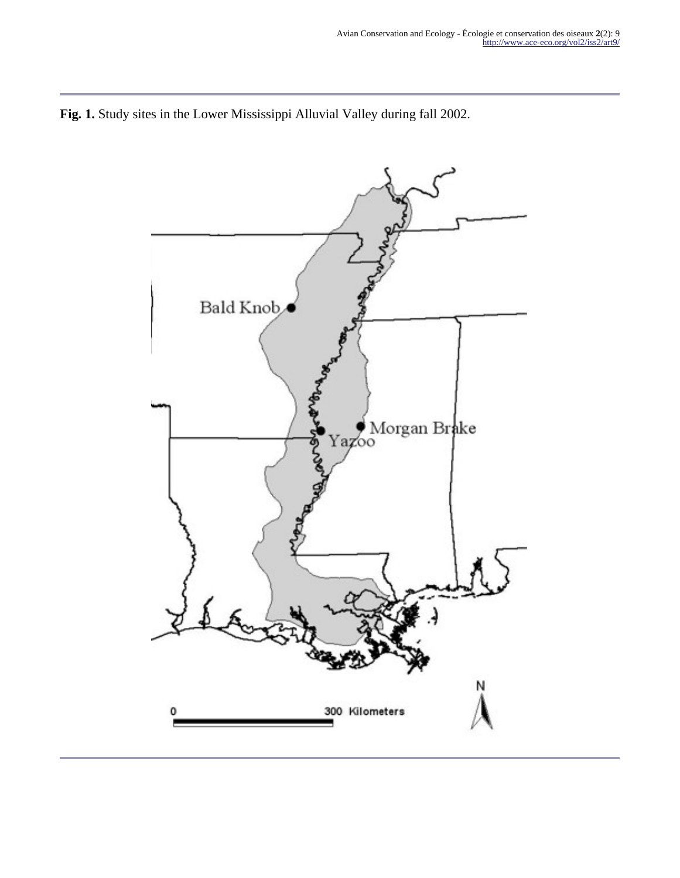

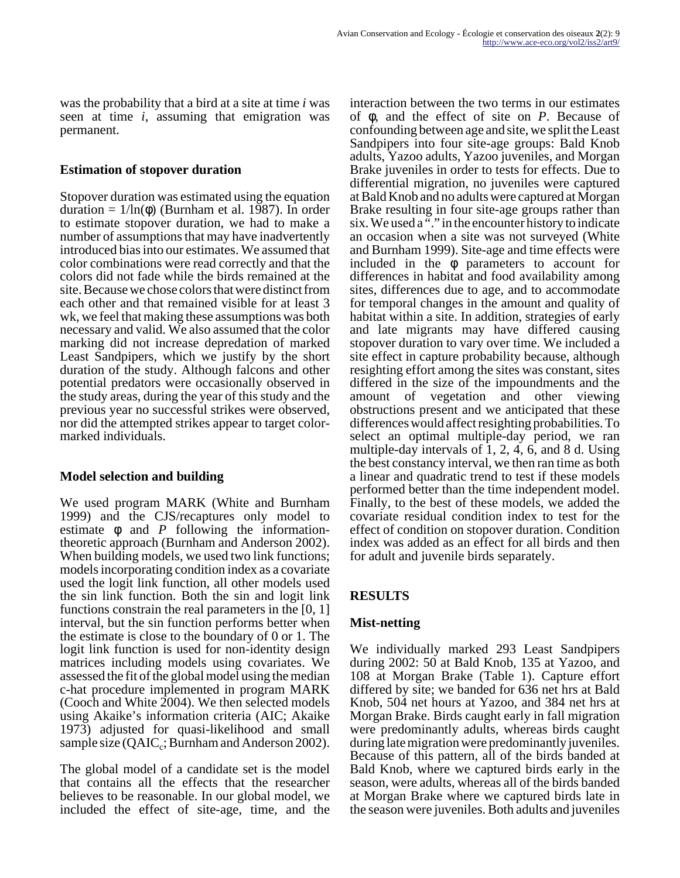was the probability that a bird at a site at time *i* was seen at time *i*, assuming that emigration was permanent.

#### **Estimation of stopover duration**

Stopover duration was estimated using the equation duration = 1/ln(φ) (Burnham et al. 1987). In order to estimate stopover duration, we had to make a number of assumptions that may have inadvertently introduced bias into our estimates. We assumed that color combinations were read correctly and that the colors did not fade while the birds remained at the site. Because we chose colors that were distinct from each other and that remained visible for at least 3 wk, we feel that making these assumptions was both necessary and valid. We also assumed that the color marking did not increase depredation of marked Least Sandpipers, which we justify by the short duration of the study. Although falcons and other potential predators were occasionally observed in the study areas, during the year of this study and the previous year no successful strikes were observed, nor did the attempted strikes appear to target colormarked individuals.

#### **Model selection and building**

We used program MARK (White and Burnham 1999) and the CJS/recaptures only model to estimate φ and *P* following the informationtheoretic approach (Burnham and Anderson 2002). When building models, we used two link functions; models incorporating condition index as a covariate used the logit link function, all other models used the sin link function. Both the sin and logit link functions constrain the real parameters in the [0, 1] interval, but the sin function performs better when the estimate is close to the boundary of 0 or 1. The logit link function is used for non-identity design matrices including models using covariates. We assessed the fit of the global model using the median c-hat procedure implemented in program MARK (Cooch and White 2004). We then selected models using Akaike's information criteria (AIC; Akaike 1973) adjusted for quasi-likelihood and small sample size ( $QAIC_c$ ; Burnham and Anderson 2002).

The global model of a candidate set is the model that contains all the effects that the researcher believes to be reasonable. In our global model, we included the effect of site-age, time, and the

interaction between the two terms in our estimates of φ, and the effect of site on *P*. Because of confounding between age and site, we split the Least Sandpipers into four site-age groups: Bald Knob adults, Yazoo adults, Yazoo juveniles, and Morgan Brake juveniles in order to tests for effects. Due to differential migration, no juveniles were captured at Bald Knob and no adults were captured at Morgan Brake resulting in four site-age groups rather than six. We used a  $\cdot\cdot\cdot$  in the encounter history to indicate an occasion when a site was not surveyed (White and Burnham 1999). Site-age and time effects were included in the  $\phi$  parameters to account for differences in habitat and food availability among sites, differences due to age, and to accommodate for temporal changes in the amount and quality of habitat within a site. In addition, strategies of early and late migrants may have differed causing stopover duration to vary over time. We included a site effect in capture probability because, although resighting effort among the sites was constant, sites differed in the size of the impoundments and the amount of vegetation and other viewing obstructions present and we anticipated that these differences would affect resighting probabilities. To select an optimal multiple-day period, we ran multiple-day intervals of 1, 2, 4, 6, and 8 d. Using the best constancy interval, we then ran time as both a linear and quadratic trend to test if these models performed better than the time independent model. Finally, to the best of these models, we added the covariate residual condition index to test for the effect of condition on stopover duration. Condition index was added as an effect for all birds and then for adult and juvenile birds separately.

## **RESULTS**

#### **Mist-netting**

We individually marked 293 Least Sandpipers during 2002: 50 at Bald Knob, 135 at Yazoo, and 108 at Morgan Brake (Table 1). Capture effort differed by site; we banded for 636 net hrs at Bald Knob, 504 net hours at Yazoo, and 384 net hrs at Morgan Brake. Birds caught early in fall migration were predominantly adults, whereas birds caught during late migration were predominantly juveniles. Because of this pattern, all of the birds banded at Bald Knob, where we captured birds early in the season, were adults, whereas all of the birds banded at Morgan Brake where we captured birds late in the season were juveniles. Both adults and juveniles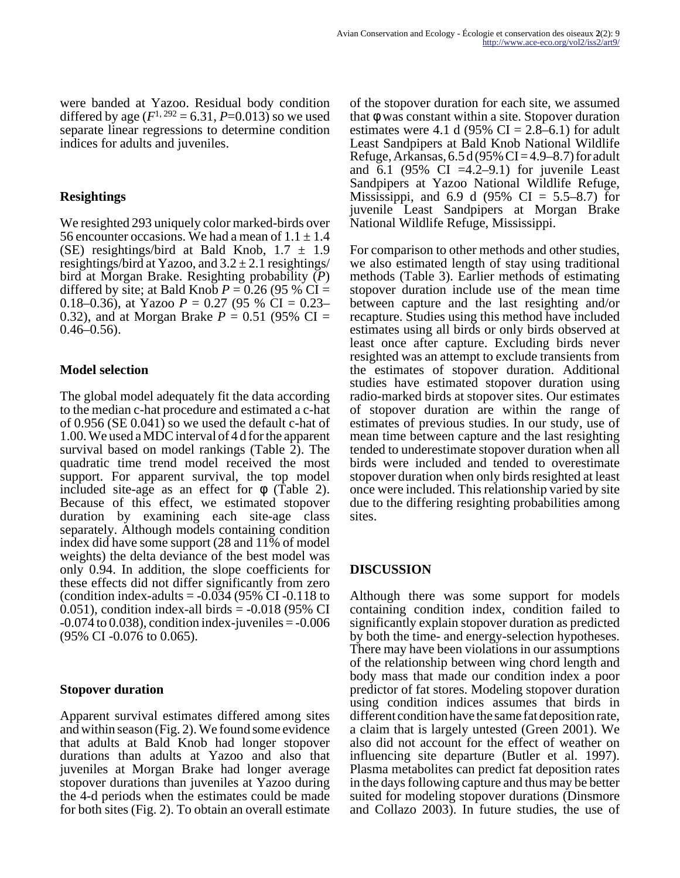were banded at Yazoo. Residual body condition differed by age  $(F^{1, 292} = 6.31, P = 0.013)$  so we used separate linear regressions to determine condition indices for adults and juveniles.

#### **Resightings**

We resighted 293 uniquely color marked-birds over 56 encounter occasions. We had a mean of  $1.1 \pm 1.4$ (SE) resightings/bird at Bald Knob,  $1.7 \pm 1.9$ resightings/bird at Yazoo, and  $3.2 \pm 2.1$  resightings/ bird at Morgan Brake. Resighting probability (*P*) differed by site; at Bald Knob  $P = 0.26$  (95 % CI = 0.18–0.36), at Yazoo  $P = 0.27$  (95 % CI = 0.23– 0.32), and at Morgan Brake  $P = 0.51$  (95% CI =  $0.46 - 0.56$ .

## **Model selection**

The global model adequately fit the data according to the median c-hat procedure and estimated a c-hat of 0.956 (SE 0.041) so we used the default c-hat of 1.00. We used a MDC interval of 4 d for the apparent survival based on model rankings (Table 2). The quadratic time trend model received the most support. For apparent survival, the top model included site-age as an effect for  $\phi$  (Table 2). Because of this effect, we estimated stopover duration by examining each site-age class separately. Although models containing condition index did have some support (28 and 11% of model weights) the delta deviance of the best model was only 0.94. In addition, the slope coefficients for these effects did not differ significantly from zero (condition index-adults  $= -0.034$  (95% CI -0.118 to  $(0.051)$ , condition index-all birds =  $-0.018$  (95% CI  $-0.074$  to 0.038), condition index-juveniles  $= -0.006$ (95% CI -0.076 to 0.065).

#### **Stopover duration**

Apparent survival estimates differed among sites and within season (Fig. 2). We found some evidence that adults at Bald Knob had longer stopover durations than adults at Yazoo and also that juveniles at Morgan Brake had longer average stopover durations than juveniles at Yazoo during the 4-d periods when the estimates could be made for both sites (Fig. 2). To obtain an overall estimate

of the stopover duration for each site, we assumed that φ was constant within a site. Stopover duration estimates were 4.1 d (95% CI =  $2.8-6.1$ ) for adult Least Sandpipers at Bald Knob National Wildlife Refuge, Arkansas,  $6.5 d (95\% CI = 4.9 - 8.7)$  for adult and  $6.1$  (95% CI =4.2–9.1) for juvenile Least Sandpipers at Yazoo National Wildlife Refuge, Mississippi, and 6.9 d  $(95\% \text{ CI} = 5.5\text{--}8.7)$  for juvenile Least Sandpipers at Morgan Brake National Wildlife Refuge, Mississippi.

For comparison to other methods and other studies, we also estimated length of stay using traditional methods (Table 3). Earlier methods of estimating stopover duration include use of the mean time between capture and the last resighting and/or recapture. Studies using this method have included estimates using all birds or only birds observed at least once after capture. Excluding birds never resighted was an attempt to exclude transients from the estimates of stopover duration. Additional studies have estimated stopover duration using radio-marked birds at stopover sites. Our estimates of stopover duration are within the range of estimates of previous studies. In our study, use of mean time between capture and the last resighting tended to underestimate stopover duration when all birds were included and tended to overestimate stopover duration when only birds resighted at least once were included. This relationship varied by site due to the differing resighting probabilities among sites.

## **DISCUSSION**

Although there was some support for models containing condition index, condition failed to significantly explain stopover duration as predicted by both the time- and energy-selection hypotheses. There may have been violations in our assumptions of the relationship between wing chord length and body mass that made our condition index a poor predictor of fat stores. Modeling stopover duration using condition indices assumes that birds in different condition have the same fat deposition rate, a claim that is largely untested (Green 2001). We also did not account for the effect of weather on influencing site departure (Butler et al. 1997). Plasma metabolites can predict fat deposition rates in the days following capture and thus may be better suited for modeling stopover durations (Dinsmore and Collazo 2003). In future studies, the use of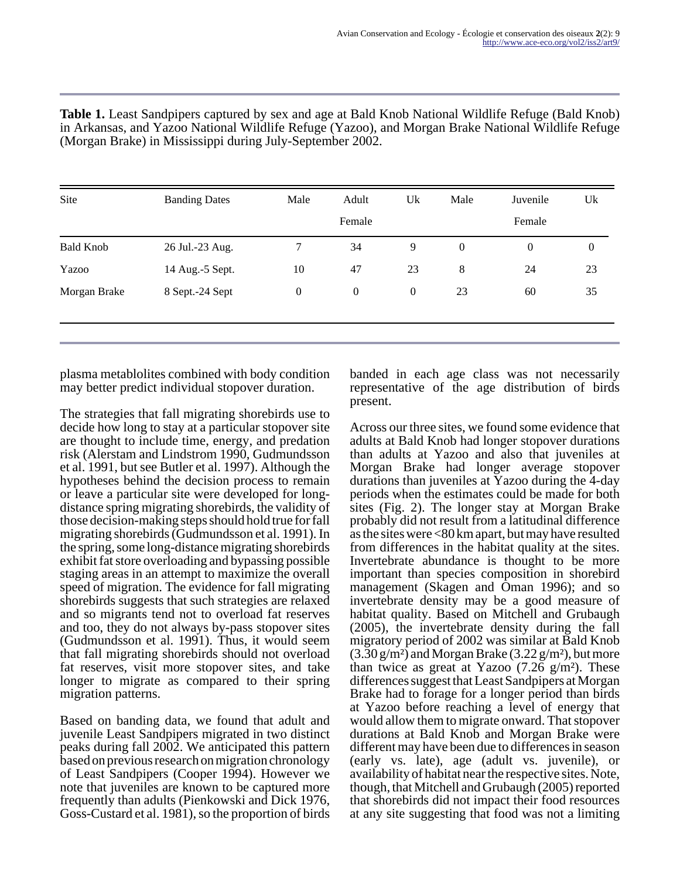| Site             | <b>Banding Dates</b> | Male             | Adult            | Uk               | Male             | Juvenile         | Uk               |
|------------------|----------------------|------------------|------------------|------------------|------------------|------------------|------------------|
|                  |                      |                  | Female           |                  |                  | Female           |                  |
| <b>Bald Knob</b> | 26 Jul.-23 Aug.      | 7                | 34               | 9                | $\boldsymbol{0}$ | $\boldsymbol{0}$ | $\boldsymbol{0}$ |
| Yazoo            | 14 Aug.-5 Sept.      | 10               | 47               | 23               | 8                | 24               | 23               |
| Morgan Brake     | 8 Sept.-24 Sept      | $\boldsymbol{0}$ | $\boldsymbol{0}$ | $\boldsymbol{0}$ | 23               | 60               | 35               |

**Table 1.** Least Sandpipers captured by sex and age at Bald Knob National Wildlife Refuge (Bald Knob) in Arkansas, and Yazoo National Wildlife Refuge (Yazoo), and Morgan Brake National Wildlife Refuge (Morgan Brake) in Mississippi during July-September 2002.

plasma metablolites combined with body condition may better predict individual stopover duration.

The strategies that fall migrating shorebirds use to decide how long to stay at a particular stopover site are thought to include time, energy, and predation risk (Alerstam and Lindstrom 1990, Gudmundsson et al. 1991, but see Butler et al. 1997). Although the hypotheses behind the decision process to remain or leave a particular site were developed for longdistance spring migrating shorebirds, the validity of those decision-making steps should hold true for fall migrating shorebirds (Gudmundsson et al. 1991). In the spring, some long-distance migrating shorebirds exhibit fat store overloading and bypassing possible staging areas in an attempt to maximize the overall speed of migration. The evidence for fall migrating shorebirds suggests that such strategies are relaxed and so migrants tend not to overload fat reserves and too, they do not always by-pass stopover sites (Gudmundsson et al. 1991). Thus, it would seem that fall migrating shorebirds should not overload fat reserves, visit more stopover sites, and take longer to migrate as compared to their spring migration patterns.

Based on banding data, we found that adult and juvenile Least Sandpipers migrated in two distinct peaks during fall 2002. We anticipated this pattern based on previous research on migration chronology of Least Sandpipers (Cooper 1994). However we note that juveniles are known to be captured more frequently than adults (Pienkowski and Dick 1976, Goss-Custard et al. 1981), so the proportion of birds

banded in each age class was not necessarily representative of the age distribution of birds present.

Across our three sites, we found some evidence that adults at Bald Knob had longer stopover durations than adults at Yazoo and also that juveniles at Morgan Brake had longer average stopover durations than juveniles at Yazoo during the 4-day periods when the estimates could be made for both sites (Fig. 2). The longer stay at Morgan Brake probably did not result from a latitudinal difference as the sites were <80 km apart, but may have resulted from differences in the habitat quality at the sites. Invertebrate abundance is thought to be more important than species composition in shorebird management (Skagen and Oman 1996); and so invertebrate density may be a good measure of habitat quality. Based on Mitchell and Grubaugh (2005), the invertebrate density during the fall migratory period of 2002 was similar at Bald Knob  $(3.30 \text{ g/m}^2)$  and Morgan Brake  $(3.22 \text{ g/m}^2)$ , but more than twice as great at Yazoo  $(7.26 \text{ g/m}^2)$ . These differences suggest that Least Sandpipers at Morgan Brake had to forage for a longer period than birds at Yazoo before reaching a level of energy that would allow them to migrate onward. That stopover durations at Bald Knob and Morgan Brake were different may have been due to differences in season (early vs. late), age (adult vs. juvenile), or availability of habitat near the respective sites. Note, though, that Mitchell and Grubaugh (2005) reported that shorebirds did not impact their food resources at any site suggesting that food was not a limiting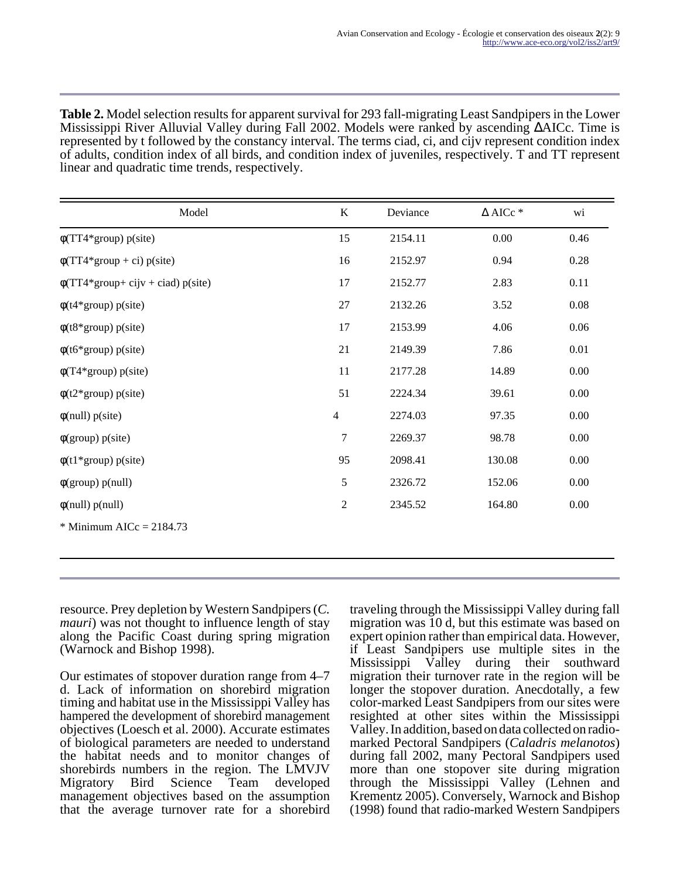**Table 2.** Model selection results for apparent survival for 293 fall-migrating Least Sandpipers in the Lower Mississippi River Alluvial Valley during Fall 2002. Models were ranked by ascending ∆AICc. Time is represented by t followed by the constancy interval. The terms ciad, ci, and cijv represent condition index of adults, condition index of all birds, and condition index of juveniles, respectively. T and TT represent linear and quadratic time trends, respectively.

| Model                                | $\bf K$        | Deviance | $\Delta$ AICc * | wi       |
|--------------------------------------|----------------|----------|-----------------|----------|
| $\phi(TT4*group)$ p(site)            | 15             | 2154.11  | 0.00            | 0.46     |
| $\phi(TT4*group + ci) p(site)$       | 16             | 2152.97  | 0.94            | 0.28     |
| $\phi(TT4*group+cijv +ciad) p(site)$ | 17             | 2152.77  | 2.83            | 0.11     |
| $\phi$ (t4*group) p(site)            | $27\,$         | 2132.26  | 3.52            | 0.08     |
| $\phi$ (t8*group) p(site)            | 17             | 2153.99  | 4.06            | 0.06     |
| $\phi$ (t6*group) p(site)            | 21             | 2149.39  | 7.86            | 0.01     |
| $\phi(T4*group)$ p(site)             | 11             | 2177.28  | 14.89           | 0.00     |
| $\phi(t2*group)$ p(site)             | 51             | 2224.34  | 39.61           | $0.00\,$ |
| $\phi$ (null) p(site)                | $\overline{4}$ | 2274.03  | 97.35           | 0.00     |
| $\phi$ (group) p(site)               | $\tau$         | 2269.37  | 98.78           | $0.00\,$ |
| $\phi(t1*group)$ p(site)             | 95             | 2098.41  | 130.08          | 0.00     |
| $\phi(\text{group})$ p(null)         | 5              | 2326.72  | 152.06          | $0.00\,$ |
| $\phi$ (null) p(null)                | $\overline{2}$ | 2345.52  | 164.80          | 0.00     |
| $*$ Minimum AICc = 2184.73           |                |          |                 |          |
|                                      |                |          |                 |          |

resource. Prey depletion by Western Sandpipers (*C. mauri*) was not thought to influence length of stay along the Pacific Coast during spring migration (Warnock and Bishop 1998).

Our estimates of stopover duration range from 4–7 d. Lack of information on shorebird migration timing and habitat use in the Mississippi Valley has hampered the development of shorebird management objectives (Loesch et al. 2000). Accurate estimates of biological parameters are needed to understand the habitat needs and to monitor changes of shorebirds numbers in the region. The LMVJV Migratory Bird Science Team developed management objectives based on the assumption that the average turnover rate for a shorebird

traveling through the Mississippi Valley during fall migration was 10 d, but this estimate was based on expert opinion rather than empirical data. However, if Least Sandpipers use multiple sites in the Mississippi Valley during their southward migration their turnover rate in the region will be longer the stopover duration. Anecdotally, a few color-marked Least Sandpipers from our sites were resighted at other sites within the Mississippi Valley. In addition, based on data collected on radiomarked Pectoral Sandpipers (*Caladris melanotos*) during fall 2002, many Pectoral Sandpipers used more than one stopover site during migration through the Mississippi Valley (Lehnen and Krementz 2005). Conversely, Warnock and Bishop (1998) found that radio-marked Western Sandpipers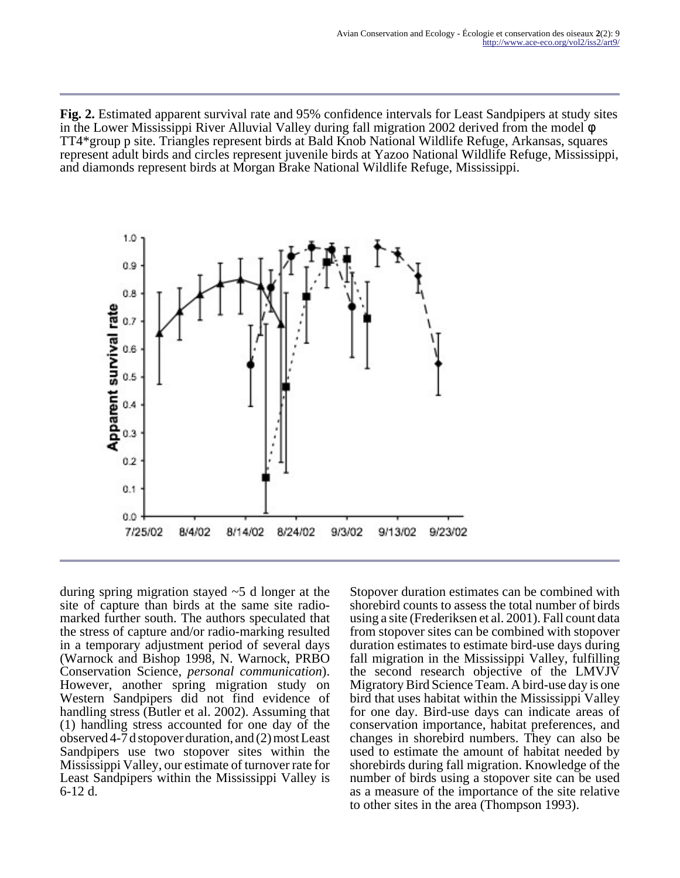**Fig. 2.** Estimated apparent survival rate and 95% confidence intervals for Least Sandpipers at study sites in the Lower Mississippi River Alluvial Valley during fall migration 2002 derived from the model φ TT4\*group p site. Triangles represent birds at Bald Knob National Wildlife Refuge, Arkansas, squares represent adult birds and circles represent juvenile birds at Yazoo National Wildlife Refuge, Mississippi, and diamonds represent birds at Morgan Brake National Wildlife Refuge, Mississippi.



during spring migration stayed ~5 d longer at the site of capture than birds at the same site radiomarked further south. The authors speculated that the stress of capture and/or radio-marking resulted in a temporary adjustment period of several days (Warnock and Bishop 1998, N. Warnock, PRBO Conservation Science, *personal communication*). However, another spring migration study on Western Sandpipers did not find evidence of handling stress (Butler et al. 2002). Assuming that (1) handling stress accounted for one day of the observed 4-7 d stopover duration, and (2) most Least Sandpipers use two stopover sites within the Mississippi Valley, our estimate of turnover rate for Least Sandpipers within the Mississippi Valley is 6-12 d.

Stopover duration estimates can be combined with shorebird counts to assess the total number of birds using a site (Frederiksen et al. 2001). Fall count data from stopover sites can be combined with stopover duration estimates to estimate bird-use days during fall migration in the Mississippi Valley, fulfilling the second research objective of the LMVJV Migratory Bird Science Team. A bird-use day is one bird that uses habitat within the Mississippi Valley for one day. Bird-use days can indicate areas of conservation importance, habitat preferences, and changes in shorebird numbers. They can also be used to estimate the amount of habitat needed by shorebirds during fall migration. Knowledge of the number of birds using a stopover site can be used as a measure of the importance of the site relative to other sites in the area (Thompson 1993).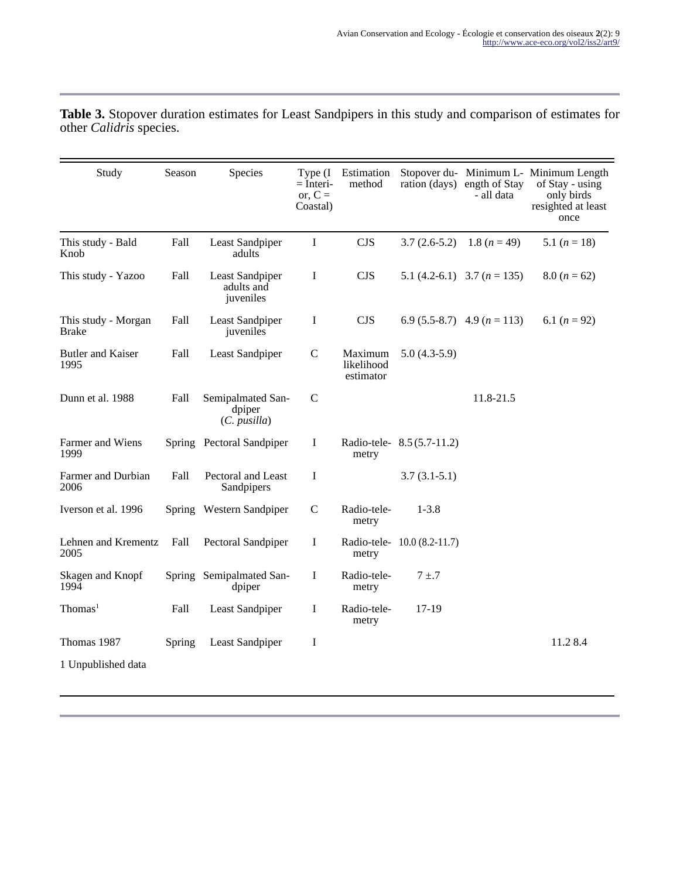| Study                               | Season | Species                                             | Type $(I)$<br>$=$ Interi-<br>or, $C =$<br>Coastal) | Estimation<br>method               | ration (days)               | ength of Stay<br>- all data     | Stopover du- Minimum L- Minimum Length<br>of Stay - using<br>only birds<br>resighted at least<br>once |
|-------------------------------------|--------|-----------------------------------------------------|----------------------------------------------------|------------------------------------|-----------------------------|---------------------------------|-------------------------------------------------------------------------------------------------------|
| This study - Bald<br>Knob           | Fall   | Least Sandpiper<br>adults                           | $\bf I$                                            | <b>CJS</b>                         | $3.7(2.6-5.2)$              | 1.8 $(n = 49)$                  | 5.1 $(n = 18)$                                                                                        |
| This study - Yazoo                  | Fall   | Least Sandpiper<br>adults and<br>juveniles          | I                                                  | <b>CJS</b>                         |                             | 5.1 (4.2-6.1) 3.7 ( $n = 135$ ) | $8.0 (n = 62)$                                                                                        |
| This study - Morgan<br><b>Brake</b> | Fall   | Least Sandpiper<br>juveniles                        | I                                                  | <b>CJS</b>                         |                             | 6.9 (5.5-8.7) 4.9 ( $n = 113$ ) | 6.1 $(n = 92)$                                                                                        |
| <b>Butler and Kaiser</b><br>1995    | Fall   | Least Sandpiper                                     | $\mathsf{C}$                                       | Maximum<br>likelihood<br>estimator | $5.0(4.3-5.9)$              |                                 |                                                                                                       |
| Dunn et al. 1988                    | Fall   | Semipalmated San-<br>dpiper<br>$(C. \text{ }pusha)$ | $\mathcal{C}$                                      |                                    |                             | 11.8-21.5                       |                                                                                                       |
| Farmer and Wiens<br>1999            |        | Spring Pectoral Sandpiper                           | $\mathbf I$                                        | metry                              | Radio-tele-8.5 (5.7-11.2)   |                                 |                                                                                                       |
| Farmer and Durbian<br>2006          | Fall   | Pectoral and Least<br>Sandpipers                    | $\mathbf I$                                        |                                    | $3.7(3.1-5.1)$              |                                 |                                                                                                       |
| Iverson et al. 1996                 |        | Spring Western Sandpiper                            | $\mathsf{C}$                                       | Radio-tele-<br>metry               | $1 - 3.8$                   |                                 |                                                                                                       |
| Lehnen and Krementz<br>2005         | Fall   | Pectoral Sandpiper                                  | $\bf{I}$                                           | metry                              | Radio-tele- 10.0 (8.2-11.7) |                                 |                                                                                                       |
| Skagen and Knopf<br>1994            |        | Spring Semipalmated San-<br>dpiper                  | I                                                  | Radio-tele-<br>metry               | $7 + .7$                    |                                 |                                                                                                       |
| Thomas <sup>1</sup>                 | Fall   | Least Sandpiper                                     | Ι                                                  | Radio-tele-<br>metry               | $17-19$                     |                                 |                                                                                                       |
| Thomas 1987                         | Spring | Least Sandpiper                                     | I                                                  |                                    |                             |                                 | 11.2 8.4                                                                                              |
| 1 Unpublished data                  |        |                                                     |                                                    |                                    |                             |                                 |                                                                                                       |

**Table 3.** Stopover duration estimates for Least Sandpipers in this study and comparison of estimates for other *Calidris* species.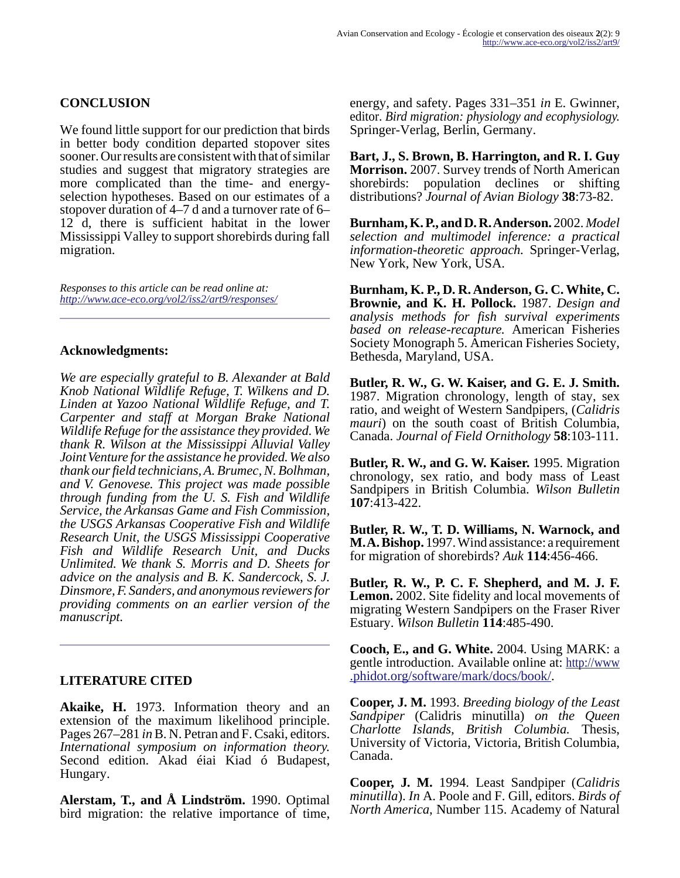## **CONCLUSION**

We found little support for our prediction that birds in better body condition departed stopover sites sooner. Our results are consistent with that of similar studies and suggest that migratory strategies are more complicated than the time- and energyselection hypotheses. Based on our estimates of a stopover duration of 4–7 d and a turnover rate of 6– 12 d, there is sufficient habitat in the lower Mississippi Valley to support shorebirds during fall migration.

*Responses to this article can be read online at: <http://www.ace-eco.org/vol2/iss2/art9/responses/>*

#### **Acknowledgments:**

*We are especially grateful to B. Alexander at Bald Knob National Wildlife Refuge, T. Wilkens and D. Linden at Yazoo National Wildlife Refuge, and T. Carpenter and staff at Morgan Brake National Wildlife Refuge for the assistance they provided. We thank R. Wilson at the Mississippi Alluvial Valley Joint Venture for the assistance he provided. We also thank our field technicians, A. Brumec, N. Bolhman, and V. Genovese. This project was made possible through funding from the U. S. Fish and Wildlife Service, the Arkansas Game and Fish Commission, the USGS Arkansas Cooperative Fish and Wildlife Research Unit, the USGS Mississippi Cooperative Fish and Wildlife Research Unit, and Ducks Unlimited. We thank S. Morris and D. Sheets for advice on the analysis and B. K. Sandercock, S. J. Dinsmore, F. Sanders, and anonymous reviewers for providing comments on an earlier version of the manuscript.* 

#### **LITERATURE CITED**

**Akaike, H.** 1973. Information theory and an extension of the maximum likelihood principle. Pages 267–281 *in* B. N. Petran and F. Csaki, editors. *International symposium on information theory.* Second edition. Akad éiai Kiad ó Budapest, Hungary.

**Alerstam, T., and Å Lindström.** 1990. Optimal bird migration: the relative importance of time,

energy, and safety. Pages 331–351 *in* E. Gwinner, editor. *Bird migration: physiology and ecophysiology.* Springer-Verlag, Berlin, Germany.

**Bart, J., S. Brown, B. Harrington, and R. I. Guy Morrison.** 2007. Survey trends of North American shorebirds: population declines or shifting distributions? *Journal of Avian Biology* **38**:73-82.

**Burnham, K. P., and D. R. Anderson.** 2002. *Model selection and multimodel inference: a practical information-theoretic approach.* Springer-Verlag, New York, New York, USA.

**Burnham, K. P., D. R. Anderson, G. C. White, C. Brownie, and K. H. Pollock.** 1987. *Design and analysis methods for fish survival experiments based on release-recapture.* American Fisheries Society Monograph 5. American Fisheries Society, Bethesda, Maryland, USA.

**Butler, R. W., G. W. Kaiser, and G. E. J. Smith.** 1987. Migration chronology, length of stay, sex ratio, and weight of Western Sandpipers, (*Calidris mauri*) on the south coast of British Columbia, Canada. *Journal of Field Ornithology* **58**:103-111.

**Butler, R. W., and G. W. Kaiser.** 1995. Migration chronology, sex ratio, and body mass of Least Sandpipers in British Columbia. *Wilson Bulletin* **107**:413-422.

**Butler, R. W., T. D. Williams, N. Warnock, and M. A. Bishop.** 1997. Wind assistance: a requirement for migration of shorebirds? *Auk* **114**:456-466.

**Butler, R. W., P. C. F. Shepherd, and M. J. F. Lemon.** 2002. Site fidelity and local movements of migrating Western Sandpipers on the Fraser River Estuary. *Wilson Bulletin* **114**:485-490.

**Cooch, E., and G. White.** 2004. Using MARK: a gentle introduction. Available online at: [http://www](http://www.phidot.org/software/mark/docs/book/) [.phidot.org/software/mark/docs/book/](http://www.phidot.org/software/mark/docs/book/).

**Cooper, J. M.** 1993. *Breeding biology of the Least Sandpiper* (Calidris minutilla) *on the Queen Charlotte Islands, British Columbia.* Thesis, University of Victoria, Victoria, British Columbia, Canada.

**Cooper, J. M.** 1994. Least Sandpiper (*Calidris minutilla*). *In* A. Poole and F. Gill, editors. *Birds of North America*, Number 115. Academy of Natural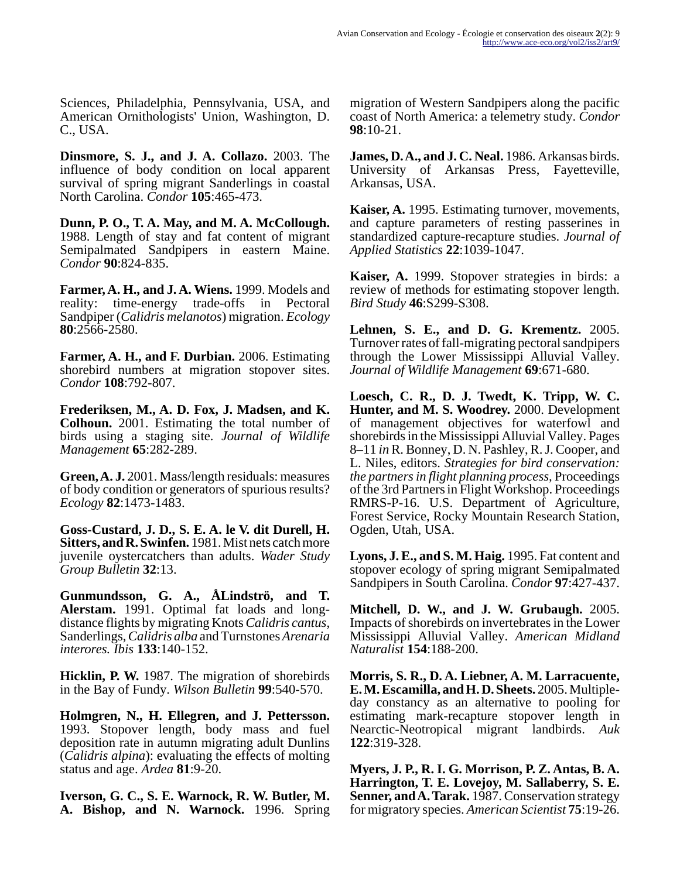Sciences, Philadelphia, Pennsylvania, USA, and American Ornithologists' Union, Washington, D. C., USA.

**Dinsmore, S. J., and J. A. Collazo.** 2003. The influence of body condition on local apparent survival of spring migrant Sanderlings in coastal North Carolina. *Condor* **105**:465-473.

**Dunn, P. O., T. A. May, and M. A. McCollough.** 1988. Length of stay and fat content of migrant Semipalmated Sandpipers in eastern Maine. *Condor* **90**:824-835.

**Farmer, A. H., and J. A. Wiens.** 1999. Models and reality: time-energy trade-offs in Pectoral Sandpiper (*Calidris melanotos*) migration. *Ecology* **80**:2566-2580.

**Farmer, A. H., and F. Durbian.** 2006. Estimating shorebird numbers at migration stopover sites. *Condor* **108**:792-807.

**Frederiksen, M., A. D. Fox, J. Madsen, and K. Colhoun.** 2001. Estimating the total number of birds using a staging site. *Journal of Wildlife Management* **65**:282-289.

**Green, A. J.** 2001. Mass/length residuals: measures of body condition or generators of spurious results? *Ecology* **82**:1473-1483.

**Goss-Custard, J. D., S. E. A. le V. dit Durell, H. Sitters, and R. Swinfen.** 1981. Mist nets catch more juvenile oystercatchers than adults. *Wader Study Group Bulletin* **32**:13.

**Gunmundsson, G. A., ÅLindströ, and T. Alerstam.** 1991. Optimal fat loads and longdistance flights by migrating Knots *Calidris cantus*, Sanderlings, *Calidris alba* and Turnstones *Arenaria interores. Ibis* **133**:140-152.

**Hicklin, P. W.** 1987. The migration of shorebirds in the Bay of Fundy. *Wilson Bulletin* **99**:540-570.

**Holmgren, N., H. Ellegren, and J. Pettersson.** 1993. Stopover length, body mass and fuel deposition rate in autumn migrating adult Dunlins (*Calidris alpina*): evaluating the effects of molting status and age. *Ardea* **81**:9-20.

**Iverson, G. C., S. E. Warnock, R. W. Butler, M. A. Bishop, and N. Warnock.** 1996. Spring migration of Western Sandpipers along the pacific coast of North America: a telemetry study. *Condor* **98**:10-21.

**James, D. A., and J. C. Neal.** 1986. Arkansas birds. University of Arkansas Press, Fayetteville, Arkansas, USA.

**Kaiser, A.** 1995. Estimating turnover, movements, and capture parameters of resting passerines in standardized capture-recapture studies. *Journal of Applied Statistics* **22**:1039-1047.

**Kaiser, A.** 1999. Stopover strategies in birds: a review of methods for estimating stopover length. *Bird Study* **46**:S299-S308.

**Lehnen, S. E., and D. G. Krementz.** 2005. Turnover rates of fall-migrating pectoral sandpipers through the Lower Mississippi Alluvial Valley. *Journal of Wildlife Management* **69**:671-680.

**Loesch, C. R., D. J. Twedt, K. Tripp, W. C. Hunter, and M. S. Woodrey.** 2000. Development of management objectives for waterfowl and shorebirds in the Mississippi Alluvial Valley. Pages 8–11 *in* R. Bonney, D. N. Pashley, R. J. Cooper, and L. Niles, editors. *Strategies for bird conservation: the partners in flight planning process,* Proceedings of the 3rd Partners in Flight Workshop. Proceedings RMRS-P-16. U.S. Department of Agriculture, Forest Service, Rocky Mountain Research Station, Ogden, Utah, USA.

**Lyons, J. E., and S. M. Haig.** 1995. Fat content and stopover ecology of spring migrant Semipalmated Sandpipers in South Carolina. *Condor* **97**:427-437.

**Mitchell, D. W., and J. W. Grubaugh.** 2005. Impacts of shorebirds on invertebrates in the Lower Mississippi Alluvial Valley. *American Midland Naturalist* **154**:188-200.

**Morris, S. R., D. A. Liebner, A. M. Larracuente, E. M. Escamilla, and H. D. Sheets.** 2005. Multipleday constancy as an alternative to pooling for estimating mark-recapture stopover length in Nearctic-Neotropical migrant landbirds. *Auk* **122**:319-328.

**Myers, J. P., R. I. G. Morrison, P. Z. Antas, B. A. Harrington, T. E. Lovejoy, M. Sallaberry, S. E. Senner, and A. Tarak.** 1987. Conservation strategy for migratory species. *American Scientist* **75**:19-26.